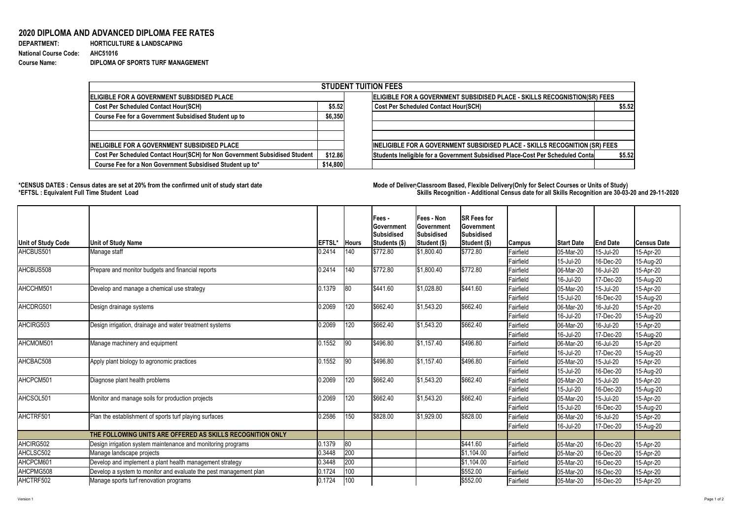## Version 1 Page 1 of 2

## **2020 DIPLOMA AND ADVANCED DIPLOMA FEE RATES**

| <b>DEPARTMENT:</b>           | <b>HORTICULTURE &amp; LANDSCAPING</b>    |
|------------------------------|------------------------------------------|
| <b>National Course Code:</b> | <b>AHC51016</b>                          |
| <b>Course Name:</b>          | <b>DIPLOMA OF SPORTS TURF MANAGEMENT</b> |

| <b>HORTICULTURE &amp; LANDSCAPING</b> |
|---------------------------------------|
| AHC51016                              |
| DIPLOMA OF SPORTS TURF MANAGEMENT     |

## **\*CENSUS DATES : Census dates are set at 20% from the confirmed unit of study start date Mode of DeliveryClassroom Based, Flexible Delivery(Only for Select Courses or Units of Study) \*EFTSL : Equivalent Full Time Student Load Skills Recognition - Additional Census date for all Skills Recognition are 30-03-20 and 29-11-2020**



| <b>STUDENT TUITION FEES</b>                                                |                                                                           |                                                                                |        |  |  |  |  |  |
|----------------------------------------------------------------------------|---------------------------------------------------------------------------|--------------------------------------------------------------------------------|--------|--|--|--|--|--|
| <b>ELIGIBLE FOR A GOVERNMENT SUBSIDISED PLACE</b>                          | ELIGIBLE FOR A GOVERNMENT SUBSIDISED PLACE - SKILLS RECOGNISTION(SR) FEES |                                                                                |        |  |  |  |  |  |
| <b>Cost Per Scheduled Contact Hour(SCH)</b>                                |                                                                           | <b>Cost Per Scheduled Contact Hour(SCH)</b>                                    | \$5.52 |  |  |  |  |  |
| <b>Course Fee for a Government Subsidised Student up to</b>                | \$6,350                                                                   |                                                                                |        |  |  |  |  |  |
| <b>INELIGIBLE FOR A GOVERNMENT SUBSIDISED PLACE</b>                        |                                                                           | INELIGIBLE FOR A GOVERNMENT SUBSIDISED PLACE - SKILLS RECOGNITION (SR) FEES    |        |  |  |  |  |  |
| Cost Per Scheduled Contact Hour(SCH) for Non Government Subsidised Student | \$12.86                                                                   | Students Ineligible for a Government Subsidised Place-Cost Per Scheduled Conta | \$5.52 |  |  |  |  |  |
| Course Fee for a Non Government Subsidised Student up to*                  | \$14,800                                                                  |                                                                                |        |  |  |  |  |  |

|                           |                                                                   |               |               | <b>Fees-</b><br>∣Government | <b>Fees - Non</b><br>∣Government | <b>SR Fees for</b><br><b>Government</b> |                  |                   |                 |                    |
|---------------------------|-------------------------------------------------------------------|---------------|---------------|-----------------------------|----------------------------------|-----------------------------------------|------------------|-------------------|-----------------|--------------------|
|                           |                                                                   |               |               | Subsidised                  | <b>Subsidised</b>                | Subsidised                              |                  |                   |                 |                    |
| <b>Unit of Study Code</b> | <b>Unit of Study Name</b>                                         | <b>EFTSL'</b> | <b>Hours</b>  | Students (\$)               | Student (\$)                     | <b>Student (\$)</b>                     | <b>Campus</b>    | <b>Start Date</b> | <b>End Date</b> | <b>Census Date</b> |
| AHCBUS501                 | Manage staff                                                      | 0.2414        | $ 140\rangle$ | \$772.80                    | \$1,800.40                       | \$772.80                                | Fairfield        | 05-Mar-20         | 15-Jul-20       | 15-Apr-20          |
|                           |                                                                   |               |               |                             |                                  |                                         | Fairfield        | 15-Jul-20         | 16-Dec-20       | 15-Aug-20          |
| AHCBUS508                 | Prepare and monitor budgets and financial reports                 | 0.2414        | $ 140\rangle$ | \$772.80                    | \$1,800.40                       | \$772.80                                | Fairfield        | 06-Mar-20         | 16-Jul-20       | 15-Apr-20          |
|                           |                                                                   |               |               |                             |                                  |                                         | Fairfield        | 16-Jul-20         | 17-Dec-20       | 15-Aug-20          |
| AHCCHM501                 | Develop and manage a chemical use strategy                        | 0.1379        | 80            | \$441.60                    | \$1,028.80                       | \$441.60                                | Fairfield        | 05-Mar-20         | 15-Jul-20       | 15-Apr-20          |
|                           |                                                                   |               |               |                             |                                  |                                         | <b>Fairfield</b> | 15-Jul-20         | 16-Dec-20       | 15-Aug-20          |
| AHCDRG501                 | Design drainage systems                                           | 0.2069        | 120           | \$662.40                    | \$1,543.20                       | \$662.40                                | Fairfield        | 06-Mar-20         | 16-Jul-20       | 15-Apr-20          |
|                           |                                                                   |               |               |                             |                                  |                                         | Fairfield        | 16-Jul-20         | 17-Dec-20       | 15-Aug-20          |
| AHCIRG503                 | Design irrigation, drainage and water treatment systems           | 0.2069        | 120           | \$662.40                    | \$1,543.20                       | \$662.40                                | <b>Fairfield</b> | 06-Mar-20         | 16-Jul-20       | 15-Apr-20          |
|                           |                                                                   |               |               |                             |                                  |                                         | <b>Fairfield</b> | 16-Jul-20         | 17-Dec-20       | 15-Aug-20          |
| AHCMOM501                 | Manage machinery and equipment                                    | 0.1552        | 90            | \$496.80                    | \$1,157.40                       | \$496.80                                | Fairfield        | 06-Mar-20         | 16-Jul-20       | 15-Apr-20          |
|                           |                                                                   |               |               |                             |                                  |                                         | <b>Fairfield</b> | 16-Jul-20         | 17-Dec-20       | 15-Aug-20          |
| AHCBAC508                 | Apply plant biology to agronomic practices                        | 0.1552        | 90            | \$496.80                    | \$1,157.40                       | \$496.80                                | Fairfield        | 05-Mar-20         | 15-Jul-20       | 15-Apr-20          |
|                           |                                                                   |               |               |                             |                                  |                                         | Fairfield        | 15-Jul-20         | 16-Dec-20       | 15-Aug-20          |
| AHCPCM501                 | Diagnose plant health problems                                    | 0.2069        | 120           | \$662.40                    | $\frac{1}{9}$ 1,543.20           | \$662.40                                | Fairfield        | 05-Mar-20         | 15-Jul-20       | 15-Apr-20          |
|                           |                                                                   |               |               |                             |                                  |                                         | Fairfield        | 15-Jul-20         | 16-Dec-20       | 15-Aug-20          |
| AHCSOL501                 | Monitor and manage soils for production projects                  | 0.2069        | 120           | \$662.40                    | $\frac{1}{9}$ 1,543.20           | \$662.40                                | Fairfield        | 05-Mar-20         | 15-Jul-20       | 15-Apr-20          |
|                           |                                                                   |               |               |                             |                                  |                                         | Fairfield        | 15-Jul-20         | 16-Dec-20       | 15-Aug-20          |
| AHCTRF501                 | Plan the establishment of sports turf playing surfaces            | 0.2586        | 150           | \$828.00                    | \$1,929.00                       | \$828.00                                | Fairfield        | 06-Mar-20         | 16-Jul-20       | 15-Apr-20          |
|                           |                                                                   |               |               |                             |                                  |                                         | Fairfield        | 16-Jul-20         | 17-Dec-20       | 15-Aug-20          |
|                           | THE FOLLOWING UNITS ARE OFFERED AS SKILLS RECOGNITION ONLY        |               |               |                             |                                  |                                         |                  |                   |                 |                    |
| AHCIRG502                 | Design irrigation system maintenance and monitoring programs      | 0.1379        | 80            |                             |                                  | \$441.60                                | Fairfield        | 05-Mar-20         | 16-Dec-20       | 15-Apr-20          |
| AHCLSC502                 | Manage landscape projects                                         | 0.3448        | 200           |                             |                                  | $ \$1,104.00$                           | Fairfield        | 05-Mar-20         | 16-Dec-20       | 15-Apr-20          |
| AHCPCM601                 | Develop and implement a plant health management strategy          | 0.3448        | 200           |                             |                                  | \$1,104.00                              | Fairfield        | 05-Mar-20         | 16-Dec-20       | 15-Apr-20          |
| AHCPMG508                 | Develop a system to monitor and evaluate the pest management plan | 0.1724        | 100           |                             |                                  | \$552.00                                | Fairfield        | 05-Mar-20         | 16-Dec-20       | 15-Apr-20          |
| AHCTRF502                 | Manage sports turf renovation programs                            | 0.1724        | 100           |                             |                                  | \$552.00                                | Fairfield        | 05-Mar-20         | 16-Dec-20       | 15-Apr-20          |